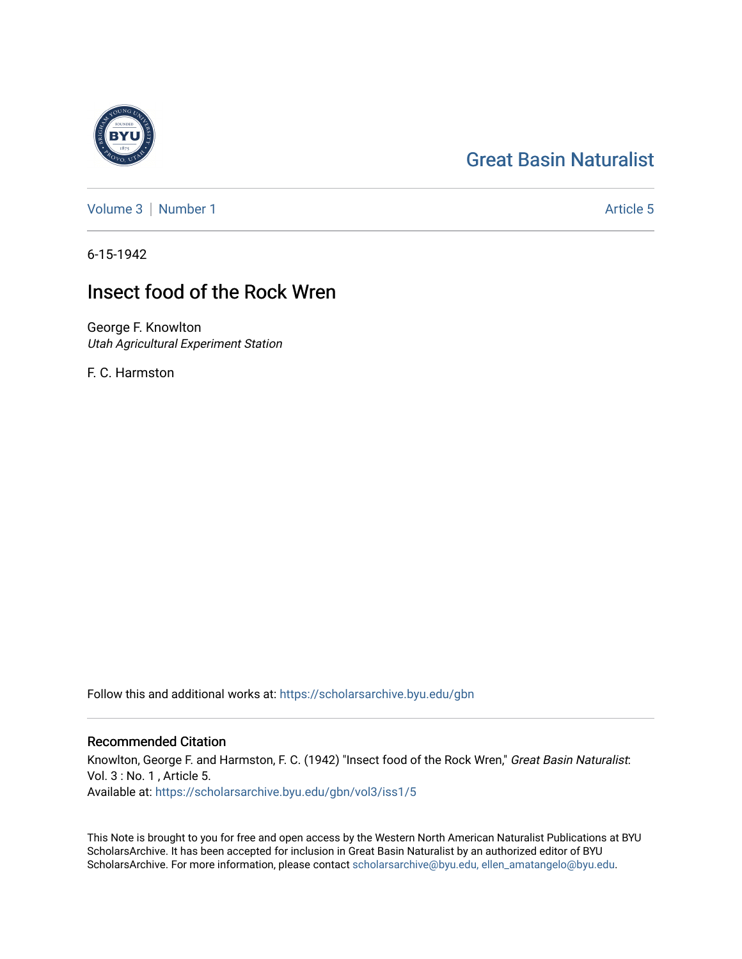## [Great Basin Naturalist](https://scholarsarchive.byu.edu/gbn)

[Volume 3](https://scholarsarchive.byu.edu/gbn/vol3) | [Number 1](https://scholarsarchive.byu.edu/gbn/vol3/iss1) Article 5

6-15-1942

## Insect food of the Rock Wren

George F. Knowlton Utah Agricultural Experiment Station

F. C. Harmston

Follow this and additional works at: [https://scholarsarchive.byu.edu/gbn](https://scholarsarchive.byu.edu/gbn?utm_source=scholarsarchive.byu.edu%2Fgbn%2Fvol3%2Fiss1%2F5&utm_medium=PDF&utm_campaign=PDFCoverPages) 

## Recommended Citation

Knowlton, George F. and Harmston, F. C. (1942) "Insect food of the Rock Wren," Great Basin Naturalist: Vol. 3 : No. 1 , Article 5. Available at: [https://scholarsarchive.byu.edu/gbn/vol3/iss1/5](https://scholarsarchive.byu.edu/gbn/vol3/iss1/5?utm_source=scholarsarchive.byu.edu%2Fgbn%2Fvol3%2Fiss1%2F5&utm_medium=PDF&utm_campaign=PDFCoverPages) 

This Note is brought to you for free and open access by the Western North American Naturalist Publications at BYU ScholarsArchive. It has been accepted for inclusion in Great Basin Naturalist by an authorized editor of BYU ScholarsArchive. For more information, please contact [scholarsarchive@byu.edu, ellen\\_amatangelo@byu.edu.](mailto:scholarsarchive@byu.edu,%20ellen_amatangelo@byu.edu)